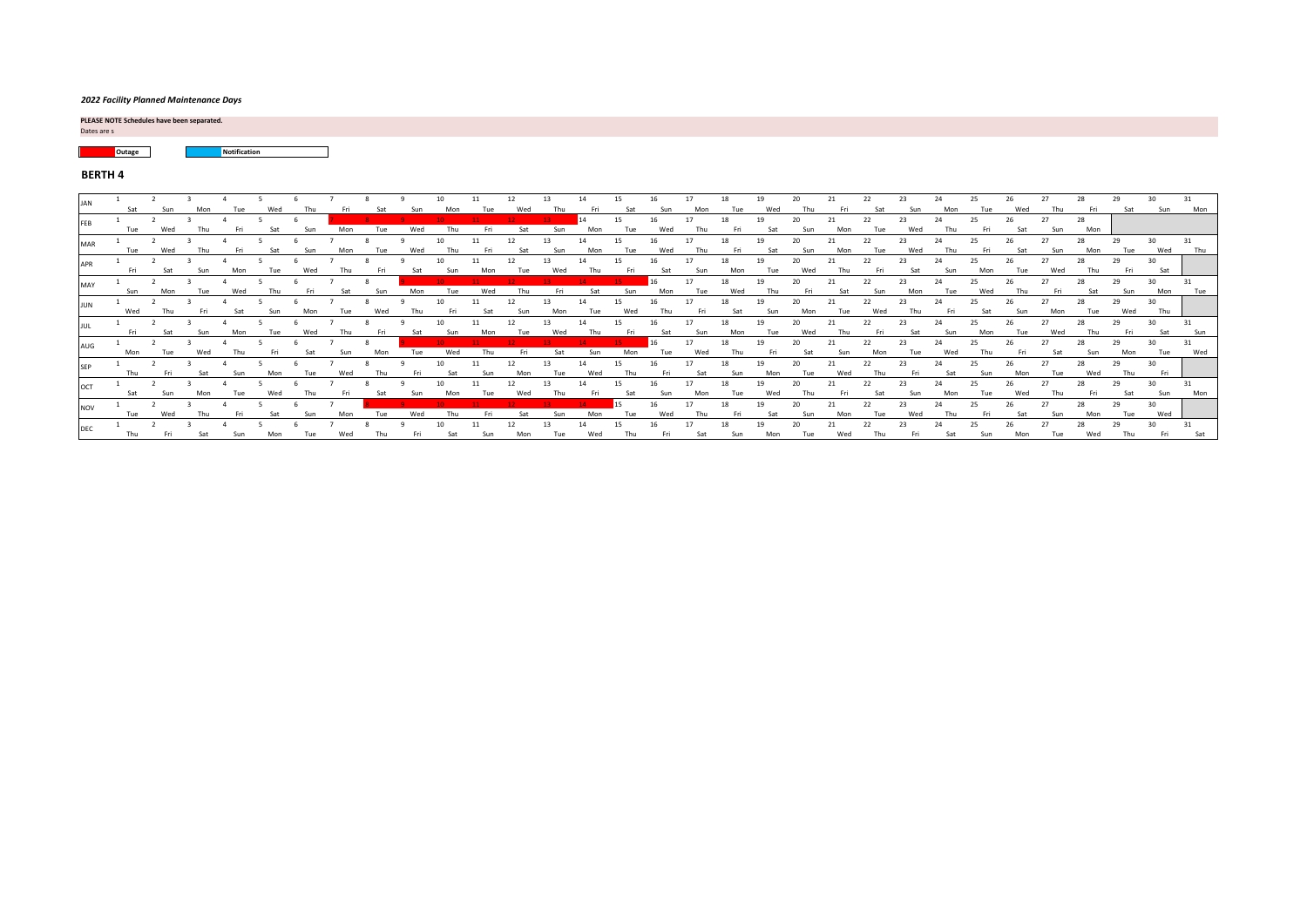### *2022 Facility Planned Maintenance Days*

Dates are s **PLEASE NOTE Schedules have been separated.** 

**Courage Notification**  $\Box$ 

# **BERTH 4**

|     |                   |  |     |  |  |  |  |    |     | 18 | 19 |    |  | 23 | 24 |  | 27         |     |                          | 30 <sup>2</sup><br>Sun | Mon                     |
|-----|-------------------|--|-----|--|--|--|--|----|-----|----|----|----|--|----|----|--|------------|-----|--------------------------|------------------------|-------------------------|
|     |                   |  |     |  |  |  |  | 16 |     |    |    |    |  |    |    |  | 27         | 28  |                          |                        |                         |
|     |                   |  |     |  |  |  |  |    |     |    |    |    |  |    |    |  |            |     |                          |                        |                         |
|     |                   |  |     |  |  |  |  |    |     |    |    |    |  |    |    |  | <b>Sun</b> | Mon |                          | Wed                    | Thu                     |
|     |                   |  |     |  |  |  |  |    |     |    |    |    |  |    |    |  |            |     |                          |                        |                         |
|     |                   |  |     |  |  |  |  |    |     |    |    |    |  |    |    |  |            | Thu |                          | Sat                    |                         |
|     |                   |  |     |  |  |  |  |    |     |    |    |    |  |    |    |  |            |     |                          |                        |                         |
|     |                   |  |     |  |  |  |  |    |     |    |    |    |  |    |    |  |            |     |                          |                        | Tue                     |
|     |                   |  |     |  |  |  |  |    |     |    |    |    |  |    |    |  |            |     |                          |                        |                         |
|     |                   |  |     |  |  |  |  |    |     |    |    |    |  |    |    |  |            |     |                          |                        |                         |
|     |                   |  |     |  |  |  |  |    |     |    |    |    |  |    |    |  |            |     |                          |                        | Sun                     |
|     |                   |  |     |  |  |  |  |    |     |    |    |    |  |    |    |  |            |     |                          |                        |                         |
|     |                   |  |     |  |  |  |  |    |     |    |    |    |  |    |    |  |            |     |                          |                        | Wed                     |
|     |                   |  |     |  |  |  |  |    |     |    |    |    |  |    |    |  |            |     |                          |                        |                         |
|     |                   |  |     |  |  |  |  |    |     |    |    |    |  |    |    |  |            |     |                          |                        |                         |
|     |                   |  |     |  |  |  |  |    | Mon |    |    |    |  |    |    |  |            |     | Sat                      | Sun                    | Mon                     |
|     |                   |  |     |  |  |  |  | 16 |     | 18 | 19 | 20 |  |    |    |  |            |     |                          |                        |                         |
| wed |                   |  |     |  |  |  |  |    |     |    |    |    |  |    |    |  |            | Mon |                          | Wed                    |                         |
|     |                   |  |     |  |  |  |  |    |     |    |    |    |  |    |    |  |            |     |                          |                        | Sat                     |
|     | Wed<br>Wed<br>Mon |  | Fri |  |  |  |  |    |     |    |    | 19 |  |    |    |  |            | Sun | Mon<br>Sat<br>Wed<br>Wed |                        | 30<br>Mon<br>Thu<br>Fri |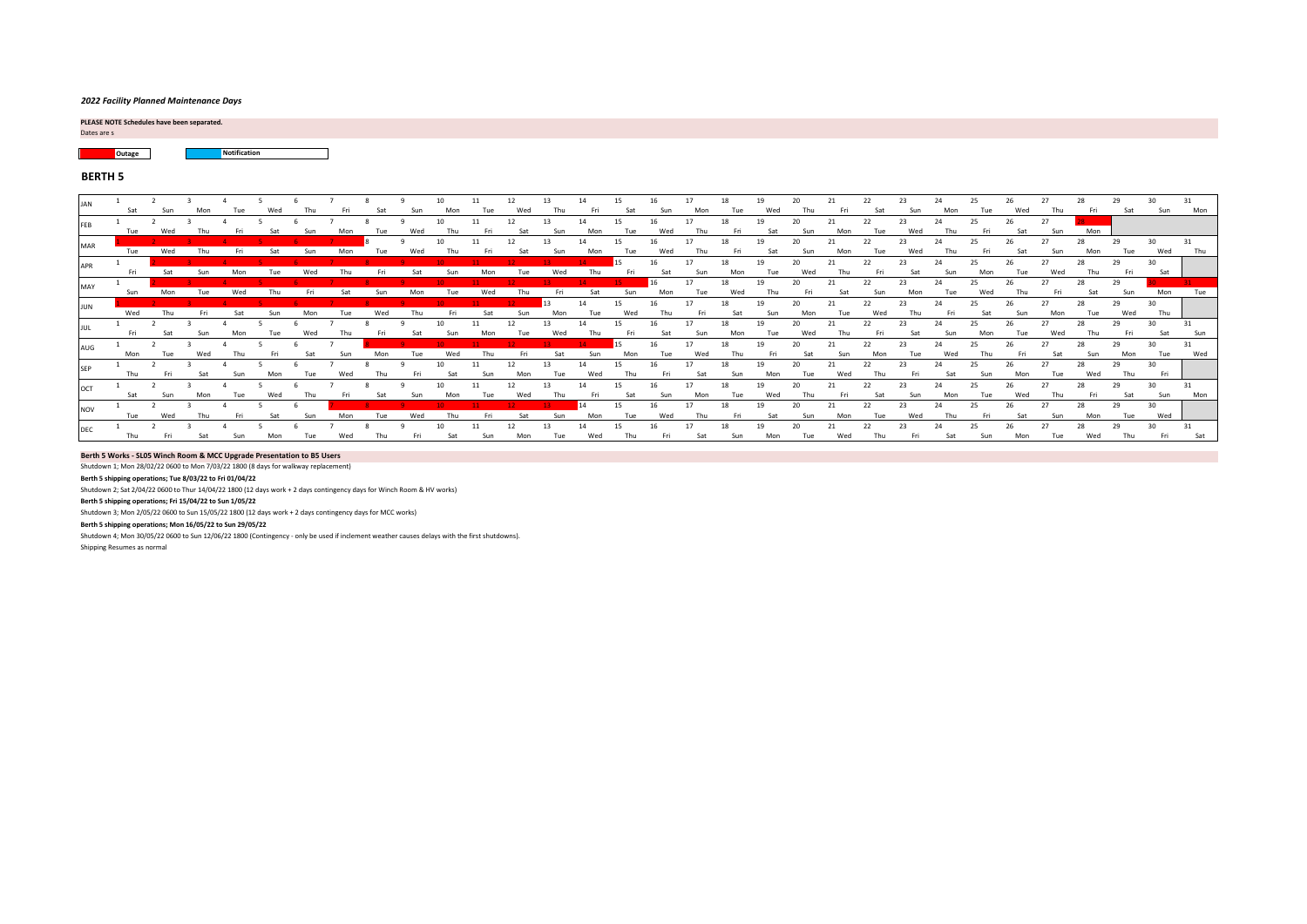#### *2022 Facility Planned Maintenance Days*

Dates are s **PLEASE NOTE Schedules have been separated.** 

**Outage Notification**

### **BERTH 5**

| <b>JAN</b> | Sat | Sun | Mon |     | Wed |     |     |     |     |     |     | 12  |     |           |           |     |           | 18<br>Tue | 10               | 20                     |     |     | 23        |           |     |            |           | Fri | Sat       | 30<br>Sun | Mon |
|------------|-----|-----|-----|-----|-----|-----|-----|-----|-----|-----|-----|-----|-----|-----------|-----------|-----|-----------|-----------|------------------|------------------------|-----|-----|-----------|-----------|-----|------------|-----------|-----|-----------|-----------|-----|
|            |     |     |     |     |     |     |     |     |     |     |     |     |     |           |           |     |           |           |                  |                        |     |     |           |           |     |            |           | Mon |           |           |     |
|            | Tue |     |     |     |     |     |     |     |     |     |     | 12  |     | 14        | 15.       |     | 17        | 18        | 19               | 20                     |     | 22  | 23        |           |     |            | 27        | 28  | 29        | 30        |     |
| MAR        | Tue | Wed |     |     |     |     |     |     |     |     |     |     |     |           |           |     |           |           | Sat              |                        |     |     |           |           |     |            |           | Mon | Tue       | Wed       | Thu |
| <b>APR</b> |     |     |     |     |     |     |     |     |     |     |     |     |     |           | 15        | 16  | 17        | 18        | 19               | 20 <sup>2</sup>        | 21  | 22  | 23        | 24        | 25  | 26         | 27        | 28  | 29        | 30        |     |
|            | Fri |     |     |     |     |     |     |     |     |     |     |     |     |           |           | Sat | Sun       | Mon       |                  |                        |     |     |           |           |     |            |           |     |           | Sat       |     |
| MAY        |     |     |     |     |     |     |     |     |     |     |     |     |     |           |           |     | 17        | 18        | 19               | 20                     |     | 22  | 23        | 24        | 25  |            |           | 28  | 29        |           |     |
|            | Sun | Mon |     |     |     |     |     |     |     |     | Wed |     |     | Sat       |           | Mon | Tue       | Wed       |                  |                        |     |     |           |           |     |            |           |     |           | Mon       | Tue |
| <b>JUN</b> | Wed | Thu | Fri | Sat | Sun | Mon | Tue | Wed | Thu |     | Sat | Sun | Mon | 14<br>Tue | 15<br>Wed | Thu | 17<br>Fri | 18<br>Sat | 19<br><b>Sun</b> | 20 <sup>2</sup><br>Mon | Tue | 22  | 23<br>Thu | 24<br>Fri | Sat | <b>Sun</b> | 27<br>Mon | 28  | 29<br>Wed | 30<br>Thu |     |
|            |     |     |     |     |     |     |     |     |     |     |     | 12  |     | 14        | 15        |     | 17        | 18        | 19               | 20                     |     | 22  | 23        | 24        | 25  |            | 27        | 28  | 29        | 30        | 31  |
|            | Fri | Sat | Sun |     |     | Wed |     |     |     |     |     |     |     |           |           | Sat | Sun       | Mon       | Tue              | Wed                    | Thu | Fri | Sat       | Sun       | Mon | Tue        | Wed       | Thu |           | Sat       | Sun |
| AUG        |     |     |     |     |     |     |     |     |     |     |     |     |     |           |           |     | 17        | 18        | 19               | 20                     |     | 22  | 23        | 24        |     |            |           |     | 29        | 30        |     |
|            | Mon | Tue | Wed | Thu | Fri | Sat | Sun | Mon | Tue | Wed | Thu | Fri | Sat | Sun       | Mon       | Tue | Wed       | Thu       | Fri              | Sat                    | Sun | Mon | Tue       | Wed       | Thu | Fri        | Sat       | Sun | Mon       | Tue       | Wed |
|            |     |     |     |     |     |     |     |     |     |     |     | 12  |     | 14        |           |     | 17        | 18        | 19               | 20 <sub>1</sub>        |     |     | 23        | 24        |     |            |           |     | 29        | 30        |     |
|            | Thu | Fri | Sat | Sun | Mon | Tue | Wed | Thu | Fri | Sat | Sun | Mon | Tue | Wed       | Thu       | Fri | Sat       | Sun       | Mon              | Tue                    | Wed | Thu |           | Sat       | Sun | Mon        | Tue       | Wed | Thu       | Fri       |     |
| OCT        |     |     |     |     |     |     |     |     |     |     |     | 12  |     |           |           |     | 17        | 18        | 19               |                        |     |     | 23        |           |     |            |           |     | 29        | 30        |     |
|            | Sat | Sun | Mon | Tue | Wed | Thu |     |     | Sun | Mon |     |     |     |           | Sat       | Sun | Mon<br>17 | Tue<br>18 | Wed<br>10        | Thu<br>20              | Fri | Sat | Sun<br>つミ | Mon       |     | Wed        |           | Fri | Sat<br>29 | Sun<br>30 | Mon |
| <b>NOV</b> | Tue | Wed | Thu | Fri | Sat | Sun | Mon | Tue | Wed | Thu |     | Sat | Sun | Mon       | Tue       | Wed | Thu       | Fri       | Sat              | Sun                    | Mon | Tue | Wed       | Thu       | Fri | Sat        | Sun       | Mon | Tue       | Wed       |     |
|            |     |     |     |     |     |     |     |     |     |     |     | 12  |     |           |           |     |           |           |                  |                        |     |     |           |           |     |            |           |     |           | 30        |     |
| DEC        | Thu | Fri | Sat | Sun | Mon | Tue | Wed | Thu | Fri | Sat | Sun | Mon | Tue | Wed       | Thu       | Fri | Sat       | Sun       | Mon              | Tue                    | Wed | Thu |           | Sat       | Sun | Mon        | Tue       | Wed | Thu       | Fri       | Sat |

#### **Berth 5 Works - SL05 Winch Room & MCC Upgrade Presentation to B5 Users**

Shutdown 1; Mon 28/02/22 0600 to Mon 7/03/22 1800 (8 days for walkway replacement)

**Berth 5 shipping operations; Tue 8/03/22 to Fri 01/04/22**

Shutdown 2; Sat 2/04/22 0600 to Thur 14/04/22 1800 (12 days work + 2 days contingency days for Winch Room & HV works)

**Berth 5 shipping operations; Fri 15/04/22 to Sun 1/05/22**

Shutdown 3; Mon 2/05/22 0600 to Sun 15/05/22 1800 (12 days work + 2 days contingency days for MCC works)

**Berth 5 shipping operations; Mon 16/05/22 to Sun 29/05/22**

Shutdown 4; Mon 30/05/22 0600 to Sun 12/06/22 1800 (Contingency - only be used if inclement weather causes delays with the first shutdowns).

Shipping Resumes as normal